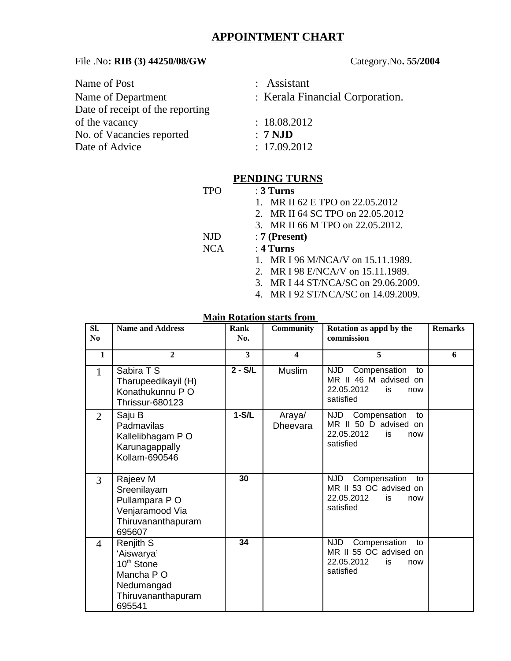# **APPOINTMENT CHART**

#### File .No**: RIB (3) 44250/08/GW** Category.No**. 55/2004**

| Name of Post                     | : Assistant                     |
|----------------------------------|---------------------------------|
| Name of Department               | : Kerala Financial Corporation. |
| Date of receipt of the reporting |                                 |
| of the vacancy                   | : 18.08.2012                    |
| No. of Vacancies reported        | $: 7$ NJD                       |
| Date of Advice                   | : 17.09.2012                    |

# **PENDING TURNS**

- TPO : **3 Turns**
	- 1. MR II 62 E TPO on 22.05.2012
	- 2. MR II 64 SC TPO on 22.05.2012
	- 3. MR II 66 M TPO on 22.05.2012.
- NJD : **7 (Present)**
- NCA : **4 Turns**
	- 1. MR I 96 M/NCA/V on 15.11.1989.
	- 2. MR I 98 E/NCA/V on 15.11.1989.
	- 3. MR I 44 ST/NCA/SC on 29.06.2009.
	- 4. MR I 92 ST/NCA/SC on 14.09.2009.

#### **Main Rotation starts from**

| SI.<br>No      | <b>Name and Address</b>                                                                                       | <b>Rank</b><br>No. | <b>Community</b>          | Rotation as appd by the<br>commission                                                               | <b>Remarks</b> |
|----------------|---------------------------------------------------------------------------------------------------------------|--------------------|---------------------------|-----------------------------------------------------------------------------------------------------|----------------|
| 1              | $\overline{2}$                                                                                                | 3                  | 4                         | 5                                                                                                   | 6              |
| $\mathbf{1}$   | Sabira T S<br>Tharupeedikayil (H)<br>Konathukunnu P O<br><b>Thrissur-680123</b>                               | $2 - S/L$          | Muslim                    | Compensation<br>NJD<br>to<br>MR II 46 M advised on<br>22.05.2012<br>is.<br>now<br>satisfied         |                |
| $\overline{2}$ | Saju B<br>Padmavilas<br>Kallelibhagam P O<br>Karunagappally<br>Kollam-690546                                  | $1-S/L$            | Araya/<br><b>Dheevara</b> | NJD<br>Compensation<br>to<br>MR II 50 D advised on<br>22.05.2012<br>is.<br>now<br>satisfied         |                |
| 3              | Rajeev M<br>Sreenilayam<br>Pullampara PO<br>Venjaramood Via<br>Thiruvananthapuram<br>695607                   | 30                 |                           | <b>NJD</b><br>Compensation<br>to<br>MR II 53 OC advised on<br>22.05.2012<br>is.<br>now<br>satisfied |                |
| $\overline{4}$ | Renjith S<br>'Aiswarya'<br>10 <sup>th</sup> Stone<br>Mancha P O<br>Nedumangad<br>Thiruvananthapuram<br>695541 | 34                 |                           | <b>NJD</b><br>Compensation<br>to<br>MR II 55 OC advised on<br>22.05.2012<br>is<br>now<br>satisfied  |                |